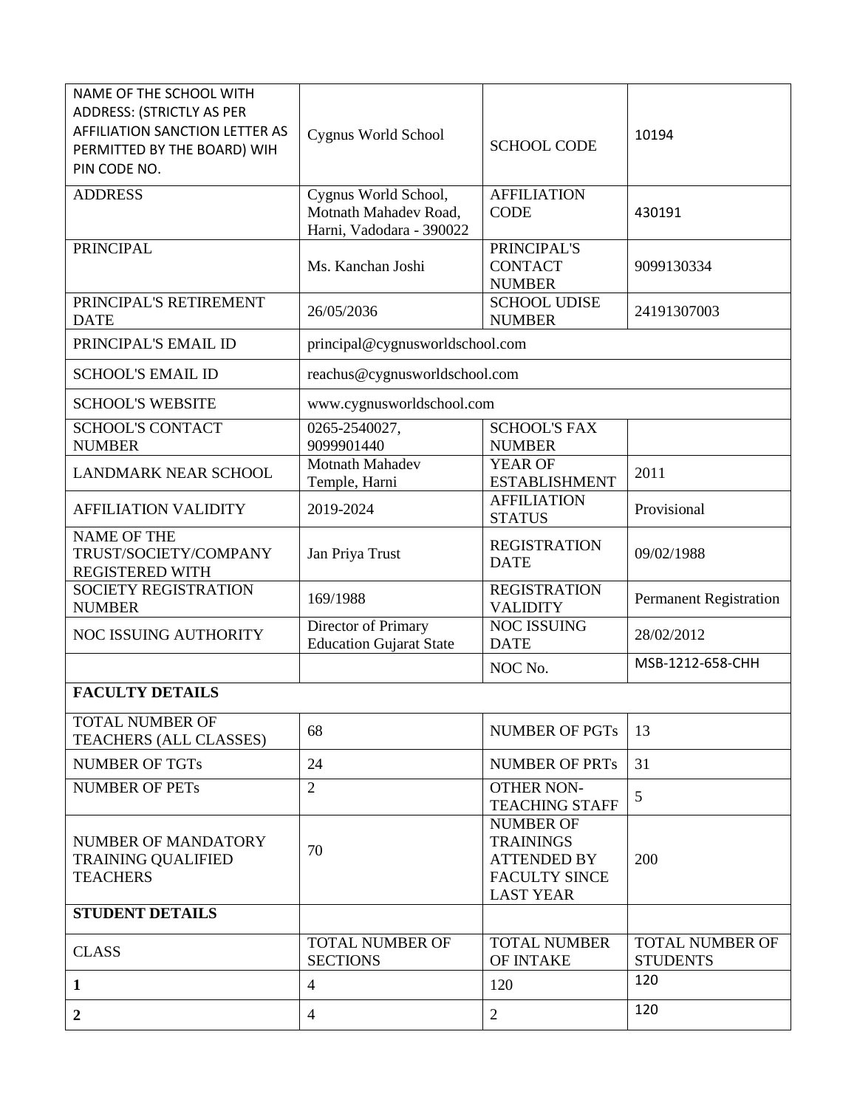| NAME OF THE SCHOOL WITH<br><b>ADDRESS: (STRICTLY AS PER</b><br><b>AFFILIATION SANCTION LETTER AS</b><br>PERMITTED BY THE BOARD) WIH<br>PIN CODE NO. | Cygnus World School                                                       | <b>SCHOOL CODE</b>                                                                                     | 10194                                     |
|-----------------------------------------------------------------------------------------------------------------------------------------------------|---------------------------------------------------------------------------|--------------------------------------------------------------------------------------------------------|-------------------------------------------|
| <b>ADDRESS</b>                                                                                                                                      | Cygnus World School,<br>Motnath Mahadev Road,<br>Harni, Vadodara - 390022 | <b>AFFILIATION</b><br><b>CODE</b>                                                                      | 430191                                    |
| <b>PRINCIPAL</b>                                                                                                                                    | Ms. Kanchan Joshi                                                         | PRINCIPAL'S<br><b>CONTACT</b><br><b>NUMBER</b>                                                         | 9099130334                                |
| PRINCIPAL'S RETIREMENT<br><b>DATE</b>                                                                                                               | 26/05/2036                                                                | <b>SCHOOL UDISE</b><br><b>NUMBER</b>                                                                   | 24191307003                               |
| PRINCIPAL'S EMAIL ID                                                                                                                                | principal@cygnusworldschool.com                                           |                                                                                                        |                                           |
| <b>SCHOOL'S EMAIL ID</b>                                                                                                                            | reachus@cygnusworldschool.com                                             |                                                                                                        |                                           |
| <b>SCHOOL'S WEBSITE</b>                                                                                                                             | www.cygnusworldschool.com                                                 |                                                                                                        |                                           |
| <b>SCHOOL'S CONTACT</b><br><b>NUMBER</b>                                                                                                            | 0265-2540027,<br>9099901440                                               | <b>SCHOOL'S FAX</b><br><b>NUMBER</b>                                                                   |                                           |
| <b>LANDMARK NEAR SCHOOL</b>                                                                                                                         | <b>Motnath Mahadev</b><br>Temple, Harni                                   | <b>YEAR OF</b><br><b>ESTABLISHMENT</b>                                                                 | 2011                                      |
| <b>AFFILIATION VALIDITY</b>                                                                                                                         | 2019-2024                                                                 | <b>AFFILIATION</b><br><b>STATUS</b>                                                                    | Provisional                               |
| <b>NAME OF THE</b><br>TRUST/SOCIETY/COMPANY<br><b>REGISTERED WITH</b>                                                                               | Jan Priya Trust                                                           | <b>REGISTRATION</b><br><b>DATE</b>                                                                     | 09/02/1988                                |
| <b>SOCIETY REGISTRATION</b><br><b>NUMBER</b>                                                                                                        | 169/1988                                                                  | <b>REGISTRATION</b><br><b>VALIDITY</b>                                                                 | <b>Permanent Registration</b>             |
| NOC ISSUING AUTHORITY                                                                                                                               | Director of Primary<br><b>Education Gujarat State</b>                     | NOC ISSUING<br><b>DATE</b>                                                                             | 28/02/2012                                |
|                                                                                                                                                     |                                                                           | NOC No.                                                                                                | MSB-1212-658-CHH                          |
| <b>FACULTY DETAILS</b>                                                                                                                              |                                                                           |                                                                                                        |                                           |
| <b>TOTAL NUMBER OF</b><br>TEACHERS (ALL CLASSES)                                                                                                    | 68                                                                        | <b>NUMBER OF PGTs</b>                                                                                  | 13                                        |
| <b>NUMBER OF TGTs</b>                                                                                                                               | 24                                                                        | <b>NUMBER OF PRTs</b>                                                                                  | 31                                        |
| <b>NUMBER OF PETs</b>                                                                                                                               | $\overline{2}$                                                            | <b>OTHER NON-</b><br><b>TEACHING STAFF</b>                                                             | 5                                         |
| NUMBER OF MANDATORY<br><b>TRAINING QUALIFIED</b><br><b>TEACHERS</b>                                                                                 | 70                                                                        | <b>NUMBER OF</b><br><b>TRAININGS</b><br><b>ATTENDED BY</b><br><b>FACULTY SINCE</b><br><b>LAST YEAR</b> | 200                                       |
| <b>STUDENT DETAILS</b>                                                                                                                              |                                                                           |                                                                                                        |                                           |
| <b>CLASS</b>                                                                                                                                        | <b>TOTAL NUMBER OF</b><br><b>SECTIONS</b>                                 | <b>TOTAL NUMBER</b><br>OF INTAKE                                                                       | <b>TOTAL NUMBER OF</b><br><b>STUDENTS</b> |
| 1                                                                                                                                                   | $\overline{4}$                                                            | 120                                                                                                    | 120                                       |
| $\overline{2}$                                                                                                                                      | $\overline{4}$                                                            | 2                                                                                                      | 120                                       |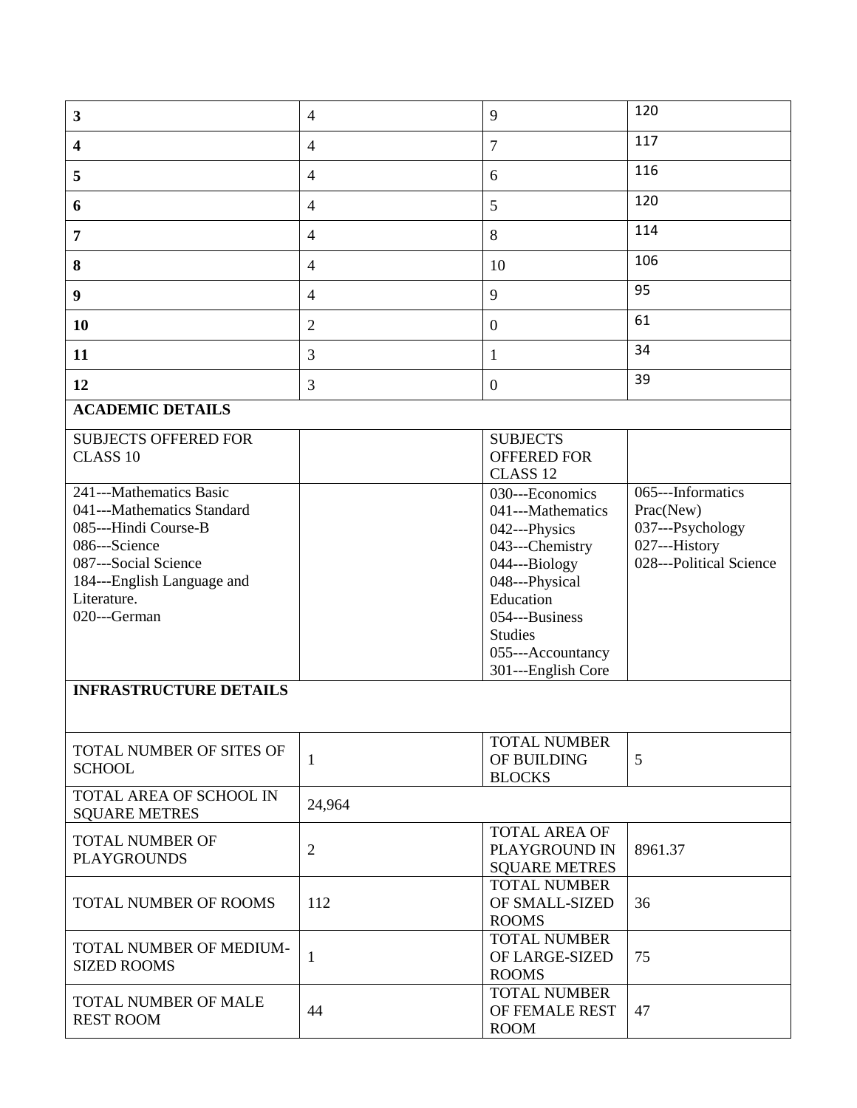| $\mathbf{3}$                                                                                                                                                                        | $\overline{4}$ | 9                                                                                                                                                                                                       | 120                                                                                            |
|-------------------------------------------------------------------------------------------------------------------------------------------------------------------------------------|----------------|---------------------------------------------------------------------------------------------------------------------------------------------------------------------------------------------------------|------------------------------------------------------------------------------------------------|
| 4                                                                                                                                                                                   | $\overline{4}$ | $\overline{7}$                                                                                                                                                                                          | 117                                                                                            |
| 5                                                                                                                                                                                   | $\overline{4}$ | 6                                                                                                                                                                                                       | 116                                                                                            |
| 6                                                                                                                                                                                   | $\overline{4}$ | 5                                                                                                                                                                                                       | 120                                                                                            |
| 7                                                                                                                                                                                   | $\overline{4}$ | 8                                                                                                                                                                                                       | 114                                                                                            |
| 8                                                                                                                                                                                   | $\overline{4}$ | 10                                                                                                                                                                                                      | 106                                                                                            |
| 9                                                                                                                                                                                   | $\overline{4}$ | 9                                                                                                                                                                                                       | 95                                                                                             |
| 10                                                                                                                                                                                  | $\overline{2}$ | $\boldsymbol{0}$                                                                                                                                                                                        | 61                                                                                             |
| 11                                                                                                                                                                                  | 3              | 1                                                                                                                                                                                                       | 34                                                                                             |
| 12                                                                                                                                                                                  | 3              | $\boldsymbol{0}$                                                                                                                                                                                        | 39                                                                                             |
| <b>ACADEMIC DETAILS</b>                                                                                                                                                             |                |                                                                                                                                                                                                         |                                                                                                |
| <b>SUBJECTS OFFERED FOR</b><br>CLASS <sub>10</sub>                                                                                                                                  |                | <b>SUBJECTS</b><br><b>OFFERED FOR</b><br>CLASS <sub>12</sub>                                                                                                                                            |                                                                                                |
| 241---Mathematics Basic<br>041---Mathematics Standard<br>085---Hindi Course-B<br>086---Science<br>087---Social Science<br>184---English Language and<br>Literature.<br>020---German |                | 030---Economics<br>041---Mathematics<br>042---Physics<br>043---Chemistry<br>044---Biology<br>048---Physical<br>Education<br>054---Business<br><b>Studies</b><br>055---Accountancy<br>301---English Core | 065---Informatics<br>Prac(New)<br>037---Psychology<br>027---History<br>028---Political Science |
| <b>INFRASTRUCTURE DETAILS</b>                                                                                                                                                       |                |                                                                                                                                                                                                         |                                                                                                |
| TOTAL NUMBER OF SITES OF<br><b>SCHOOL</b>                                                                                                                                           | 1              | <b>TOTAL NUMBER</b><br>OF BUILDING<br><b>BLOCKS</b>                                                                                                                                                     | 5                                                                                              |
| TOTAL AREA OF SCHOOL IN<br><b>SQUARE METRES</b>                                                                                                                                     | 24,964         |                                                                                                                                                                                                         |                                                                                                |
| <b>TOTAL NUMBER OF</b><br><b>PLAYGROUNDS</b>                                                                                                                                        | $\overline{2}$ | <b>TOTAL AREA OF</b><br>PLAYGROUND IN<br><b>SQUARE METRES</b>                                                                                                                                           | 8961.37                                                                                        |
| TOTAL NUMBER OF ROOMS                                                                                                                                                               | 112            | <b>TOTAL NUMBER</b><br>OF SMALL-SIZED<br><b>ROOMS</b>                                                                                                                                                   | 36                                                                                             |
| TOTAL NUMBER OF MEDIUM-<br><b>SIZED ROOMS</b>                                                                                                                                       | 1              | <b>TOTAL NUMBER</b><br>OF LARGE-SIZED<br><b>ROOMS</b>                                                                                                                                                   | 75                                                                                             |
| TOTAL NUMBER OF MALE<br><b>REST ROOM</b>                                                                                                                                            | 44             | <b>TOTAL NUMBER</b><br>OF FEMALE REST<br><b>ROOM</b>                                                                                                                                                    | 47                                                                                             |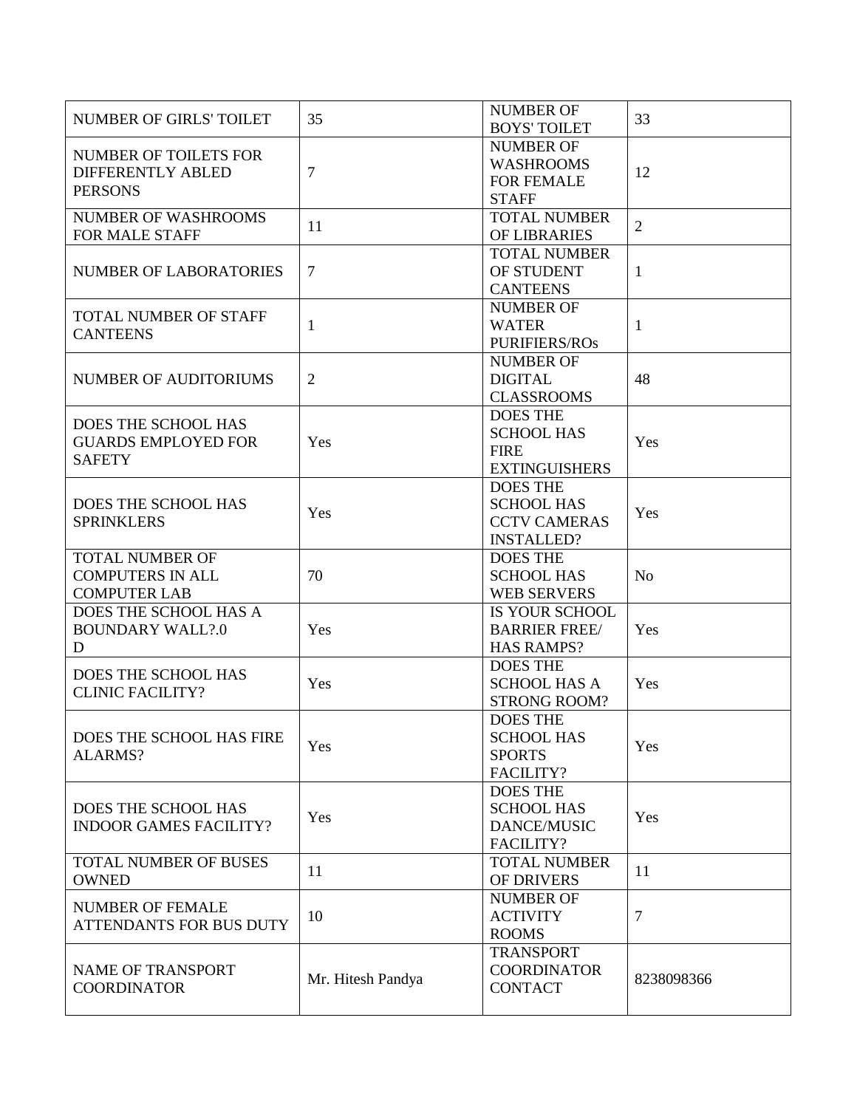| <b>NUMBER OF GIRLS' TOILET</b>               | 35                | <b>NUMBER OF</b><br><b>BOYS' TOILET</b> | 33             |
|----------------------------------------------|-------------------|-----------------------------------------|----------------|
|                                              |                   | <b>NUMBER OF</b>                        |                |
| <b>NUMBER OF TOILETS FOR</b>                 |                   | <b>WASHROOMS</b>                        |                |
| <b>DIFFERENTLY ABLED</b>                     | $\overline{7}$    | <b>FOR FEMALE</b>                       | 12             |
| <b>PERSONS</b>                               |                   | <b>STAFF</b>                            |                |
| <b>NUMBER OF WASHROOMS</b>                   |                   | <b>TOTAL NUMBER</b>                     |                |
| <b>FOR MALE STAFF</b>                        | 11                | OF LIBRARIES                            | $\overline{2}$ |
|                                              |                   | <b>TOTAL NUMBER</b>                     |                |
| <b>NUMBER OF LABORATORIES</b>                | $\overline{7}$    | OF STUDENT                              | $\mathbf{1}$   |
|                                              |                   | <b>CANTEENS</b>                         |                |
|                                              |                   | <b>NUMBER OF</b>                        |                |
| TOTAL NUMBER OF STAFF                        | $\mathbf{1}$      | <b>WATER</b>                            | 1              |
| <b>CANTEENS</b>                              |                   | <b>PURIFIERS/ROS</b>                    |                |
|                                              |                   | <b>NUMBER OF</b>                        |                |
| NUMBER OF AUDITORIUMS                        | $\mathfrak{2}$    | <b>DIGITAL</b>                          | 48             |
|                                              |                   | <b>CLASSROOMS</b>                       |                |
|                                              |                   | <b>DOES THE</b>                         |                |
| DOES THE SCHOOL HAS                          |                   | <b>SCHOOL HAS</b>                       |                |
| <b>GUARDS EMPLOYED FOR</b>                   | Yes               | <b>FIRE</b>                             | Yes            |
| <b>SAFETY</b>                                |                   | <b>EXTINGUISHERS</b>                    |                |
|                                              |                   | <b>DOES THE</b>                         |                |
| DOES THE SCHOOL HAS                          |                   | <b>SCHOOL HAS</b>                       |                |
| <b>SPRINKLERS</b>                            | Yes               | <b>CCTV CAMERAS</b>                     | Yes            |
|                                              |                   | <b>INSTALLED?</b>                       |                |
| <b>TOTAL NUMBER OF</b>                       |                   | <b>DOES THE</b>                         |                |
| <b>COMPUTERS IN ALL</b>                      |                   |                                         |                |
|                                              | 70                | <b>SCHOOL HAS</b>                       | <b>No</b>      |
| <b>COMPUTER LAB</b><br>DOES THE SCHOOL HAS A |                   | <b>WEB SERVERS</b>                      |                |
| <b>BOUNDARY WALL?.0</b>                      | Yes               | IS YOUR SCHOOL<br><b>BARRIER FREE/</b>  | Yes            |
| D                                            |                   | <b>HAS RAMPS?</b>                       |                |
|                                              |                   | <b>DOES THE</b>                         |                |
| <b>DOES THE SCHOOL HAS</b>                   | Yes               | <b>SCHOOL HAS A</b>                     | Yes            |
| <b>CLINIC FACILITY?</b>                      |                   | <b>STRONG ROOM?</b>                     |                |
|                                              |                   | <b>DOES THE</b>                         |                |
| DOES THE SCHOOL HAS FIRE                     |                   | <b>SCHOOL HAS</b>                       |                |
| ALARMS?                                      | Yes               | <b>SPORTS</b>                           | Yes            |
|                                              |                   | FACILITY?                               |                |
|                                              |                   | <b>DOES THE</b>                         |                |
| DOES THE SCHOOL HAS                          |                   | <b>SCHOOL HAS</b>                       |                |
| <b>INDOOR GAMES FACILITY?</b>                | Yes               | <b>DANCE/MUSIC</b>                      | Yes            |
|                                              |                   | FACILITY?                               |                |
| <b>TOTAL NUMBER OF BUSES</b>                 |                   | TOTAL NUMBER                            |                |
|                                              | 11                |                                         | 11             |
| <b>OWNED</b>                                 |                   | OF DRIVERS<br><b>NUMBER OF</b>          |                |
| <b>NUMBER OF FEMALE</b>                      | 10                |                                         | $\overline{7}$ |
| <b>ATTENDANTS FOR BUS DUTY</b>               |                   | <b>ACTIVITY</b><br><b>ROOMS</b>         |                |
|                                              |                   |                                         |                |
| NAME OF TRANSPORT                            |                   | <b>TRANSPORT</b>                        |                |
| <b>COORDINATOR</b>                           | Mr. Hitesh Pandya | <b>COORDINATOR</b><br><b>CONTACT</b>    | 8238098366     |
|                                              |                   |                                         |                |
|                                              |                   |                                         |                |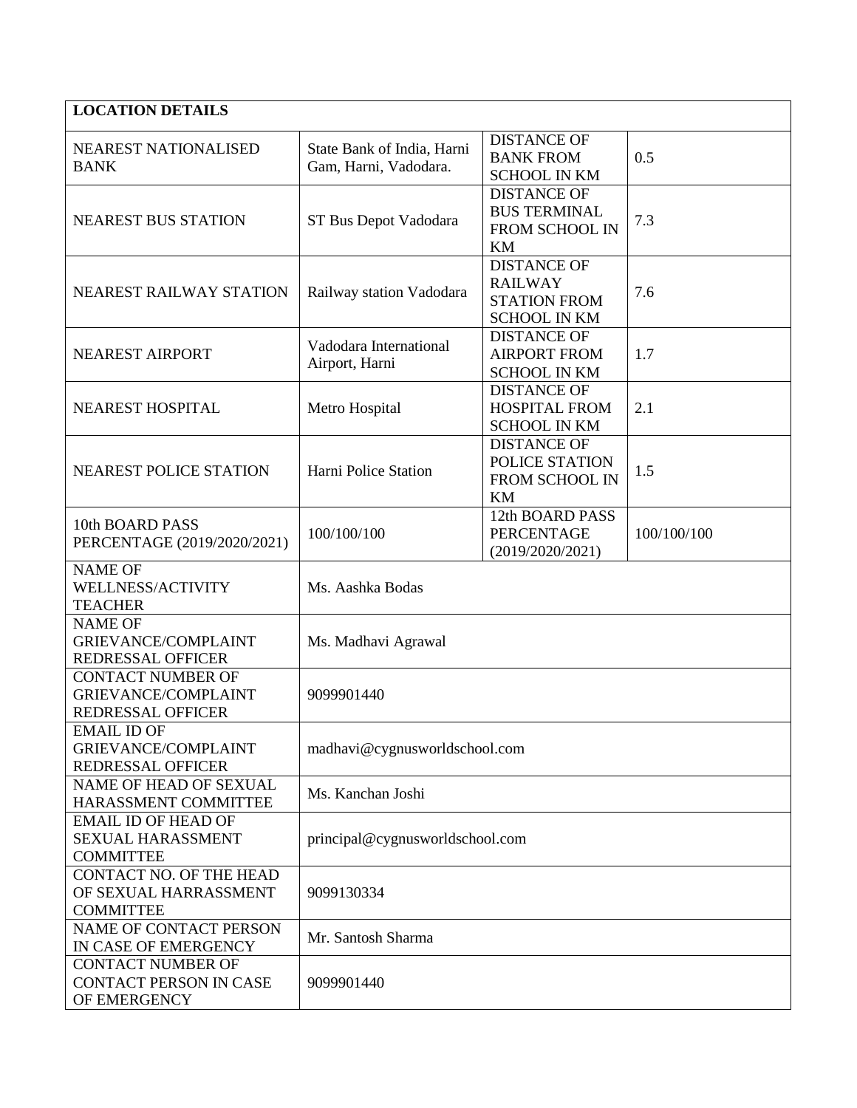| <b>LOCATION DETAILS</b>                                                            |                                                     |                                                                                    |             |
|------------------------------------------------------------------------------------|-----------------------------------------------------|------------------------------------------------------------------------------------|-------------|
| <b>NEAREST NATIONALISED</b><br><b>BANK</b>                                         | State Bank of India, Harni<br>Gam, Harni, Vadodara. | <b>DISTANCE OF</b><br><b>BANK FROM</b><br><b>SCHOOL IN KM</b>                      | 0.5         |
| <b>NEAREST BUS STATION</b>                                                         | ST Bus Depot Vadodara                               | <b>DISTANCE OF</b><br><b>BUS TERMINAL</b><br>FROM SCHOOL IN<br>KM                  | 7.3         |
| NEAREST RAILWAY STATION                                                            | Railway station Vadodara                            | <b>DISTANCE OF</b><br><b>RAILWAY</b><br><b>STATION FROM</b><br><b>SCHOOL IN KM</b> | 7.6         |
| <b>NEAREST AIRPORT</b>                                                             | Vadodara International<br>Airport, Harni            | <b>DISTANCE OF</b><br><b>AIRPORT FROM</b><br><b>SCHOOL IN KM</b>                   | 1.7         |
| <b>NEAREST HOSPITAL</b>                                                            | Metro Hospital                                      | <b>DISTANCE OF</b><br><b>HOSPITAL FROM</b><br><b>SCHOOL IN KM</b>                  | 2.1         |
| <b>NEAREST POLICE STATION</b>                                                      | Harni Police Station                                | <b>DISTANCE OF</b><br>POLICE STATION<br>FROM SCHOOL IN<br>KM                       | 1.5         |
| 10th BOARD PASS<br>PERCENTAGE (2019/2020/2021)                                     | 100/100/100                                         | 12th BOARD PASS<br><b>PERCENTAGE</b><br>(2019/2020/2021)                           | 100/100/100 |
| <b>NAME OF</b><br>WELLNESS/ACTIVITY<br><b>TEACHER</b>                              | Ms. Aashka Bodas                                    |                                                                                    |             |
| <b>NAME OF</b><br><b>GRIEVANCE/COMPLAINT</b><br><b>REDRESSAL OFFICER</b>           | Ms. Madhavi Agrawal                                 |                                                                                    |             |
| <b>CONTACT NUMBER OF</b><br><b>GRIEVANCE/COMPLAINT</b><br><b>REDRESSAL OFFICER</b> | 9099901440                                          |                                                                                    |             |
| <b>EMAIL ID OF</b><br><b>GRIEVANCE/COMPLAINT</b><br><b>REDRESSAL OFFICER</b>       | madhavi@cygnusworldschool.com                       |                                                                                    |             |
| <b>NAME OF HEAD OF SEXUAL</b><br>HARASSMENT COMMITTEE                              | Ms. Kanchan Joshi                                   |                                                                                    |             |
| <b>EMAIL ID OF HEAD OF</b><br><b>SEXUAL HARASSMENT</b><br><b>COMMITTEE</b>         | principal@cygnusworldschool.com                     |                                                                                    |             |
| <b>CONTACT NO. OF THE HEAD</b><br>OF SEXUAL HARRASSMENT<br><b>COMMITTEE</b>        | 9099130334                                          |                                                                                    |             |
| NAME OF CONTACT PERSON<br>IN CASE OF EMERGENCY                                     | Mr. Santosh Sharma                                  |                                                                                    |             |
| <b>CONTACT NUMBER OF</b><br><b>CONTACT PERSON IN CASE</b><br>OF EMERGENCY          | 9099901440                                          |                                                                                    |             |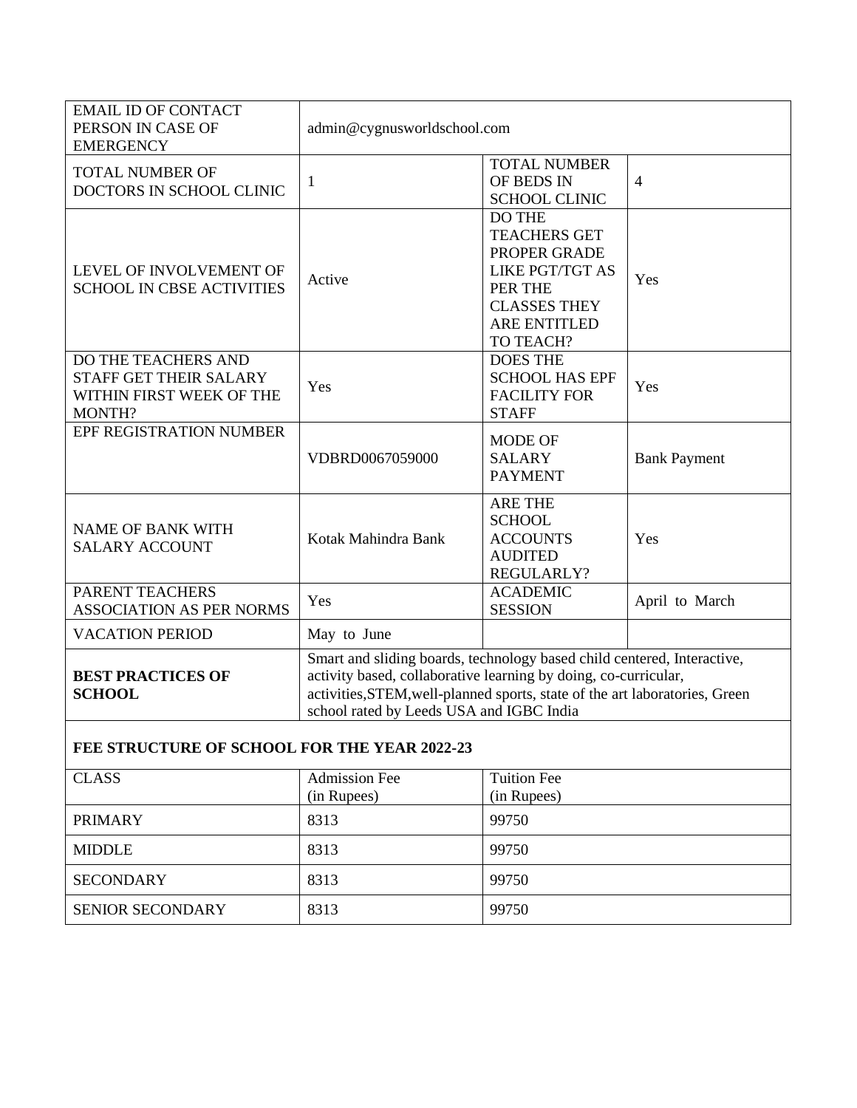| <b>EMAIL ID OF CONTACT</b><br>PERSON IN CASE OF<br><b>EMERGENCY</b>                        | admin@cygnusworldschool.com                                                                                                                                                                                                                                           |                                                                                                                                                      |                     |
|--------------------------------------------------------------------------------------------|-----------------------------------------------------------------------------------------------------------------------------------------------------------------------------------------------------------------------------------------------------------------------|------------------------------------------------------------------------------------------------------------------------------------------------------|---------------------|
| <b>TOTAL NUMBER OF</b><br>DOCTORS IN SCHOOL CLINIC                                         | $\mathbf{1}$                                                                                                                                                                                                                                                          | <b>TOTAL NUMBER</b><br>OF BEDS IN<br><b>SCHOOL CLINIC</b>                                                                                            | $\overline{4}$      |
| LEVEL OF INVOLVEMENT OF<br><b>SCHOOL IN CBSE ACTIVITIES</b>                                | Active                                                                                                                                                                                                                                                                | <b>DO THE</b><br><b>TEACHERS GET</b><br>PROPER GRADE<br><b>LIKE PGT/TGT AS</b><br>PER THE<br><b>CLASSES THEY</b><br><b>ARE ENTITLED</b><br>TO TEACH? | Yes                 |
| DO THE TEACHERS AND<br><b>STAFF GET THEIR SALARY</b><br>WITHIN FIRST WEEK OF THE<br>MONTH? | Yes                                                                                                                                                                                                                                                                   | <b>DOES THE</b><br><b>SCHOOL HAS EPF</b><br><b>FACILITY FOR</b><br><b>STAFF</b>                                                                      | Yes                 |
| EPF REGISTRATION NUMBER                                                                    | VDBRD0067059000                                                                                                                                                                                                                                                       | <b>MODE OF</b><br><b>SALARY</b><br><b>PAYMENT</b>                                                                                                    | <b>Bank Payment</b> |
| <b>NAME OF BANK WITH</b><br><b>SALARY ACCOUNT</b>                                          | Kotak Mahindra Bank                                                                                                                                                                                                                                                   | <b>ARE THE</b><br><b>SCHOOL</b><br><b>ACCOUNTS</b><br><b>AUDITED</b><br>REGULARLY?                                                                   | Yes                 |
| PARENT TEACHERS<br><b>ASSOCIATION AS PER NORMS</b>                                         | Yes                                                                                                                                                                                                                                                                   | <b>ACADEMIC</b><br><b>SESSION</b>                                                                                                                    | April to March      |
| <b>VACATION PERIOD</b>                                                                     | May to June                                                                                                                                                                                                                                                           |                                                                                                                                                      |                     |
| <b>BEST PRACTICES OF</b><br><b>SCHOOL</b>                                                  | Smart and sliding boards, technology based child centered, Interactive,<br>activity based, collaborative learning by doing, co-curricular,<br>activities, STEM, well-planned sports, state of the art laboratories, Green<br>school rated by Leeds USA and IGBC India |                                                                                                                                                      |                     |

## **FEE STRUCTURE OF SCHOOL FOR THE YEAR 2022-23**

| <b>CLASS</b>            | <b>Admission Fee</b><br>(in Rupees) | <b>Tuition Fee</b><br>(in Rupees) |
|-------------------------|-------------------------------------|-----------------------------------|
| <b>PRIMARY</b>          | 8313                                | 99750                             |
| <b>MIDDLE</b>           | 8313                                | 99750                             |
| <b>SECONDARY</b>        | 8313                                | 99750                             |
| <b>SENIOR SECONDARY</b> | 8313                                | 99750                             |